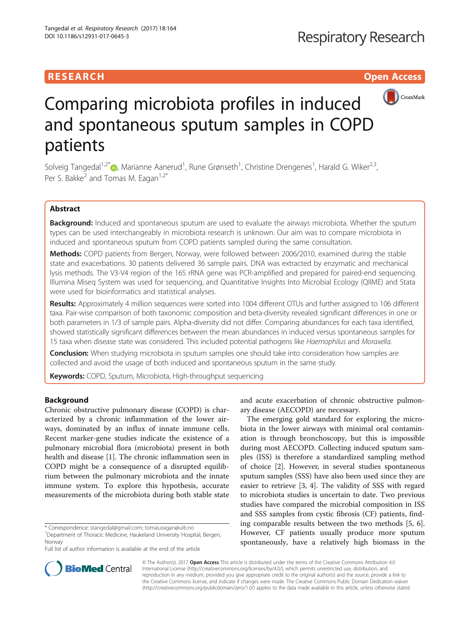## **RESEARCH CHILD CONTROL** CONTROL CONTROL CONTROL CONTROL CONTROL CONTROL CONTROL CONTROL CONTROL CONTROL CONTROL



# Comparing microbiota profiles in induced and spontaneous sputum samples in COPD patients

Solveig Tangedal<sup>1[,](http://orcid.org/0000-0001-8060-5306)2\*</sup>®, Marianne Aanerud<sup>1</sup>, Rune Grønseth<sup>1</sup>, Christine Drengenes<sup>1</sup>, Harald G. Wiker<sup>2,3</sup>, Per S. Bakke<sup>2</sup> and Tomas M. Eagan<sup>1,2\*</sup>

## Abstract

Background: Induced and spontaneous sputum are used to evaluate the airways microbiota. Whether the sputum types can be used interchangeably in microbiota research is unknown. Our aim was to compare microbiota in induced and spontaneous sputum from COPD patients sampled during the same consultation.

Methods: COPD patients from Bergen, Norway, were followed between 2006/2010, examined during the stable state and exacerbations. 30 patients delivered 36 sample pairs. DNA was extracted by enzymatic and mechanical lysis methods. The V3-V4 region of the 16S rRNA gene was PCR-amplified and prepared for paired-end sequencing. Illumina Miseq System was used for sequencing, and Quantitative Insights Into Microbial Ecology (QIIME) and Stata were used for bioinformatics and statistical analyses.

Results: Approximately 4 million sequences were sorted into 1004 different OTUs and further assigned to 106 different taxa. Pair-wise comparison of both taxonomic composition and beta-diversity revealed significant differences in one or both parameters in 1/3 of sample pairs. Alpha-diversity did not differ. Comparing abundances for each taxa identified, showed statistically significant differences between the mean abundances in induced versus spontaneous samples for 15 taxa when disease state was considered. This included potential pathogens like Haemophilus and Moraxella.

**Conclusion:** When studying microbiota in sputum samples one should take into consideration how samples are collected and avoid the usage of both induced and spontaneous sputum in the same study.

**Keywords:** COPD, Sputum, Microbiota, High-throughput sequencing

## Background

Chronic obstructive pulmonary disease (COPD) is characterized by a chronic inflammation of the lower airways, dominated by an influx of innate immune cells. Recent marker-gene studies indicate the existence of a pulmonary microbial flora (microbiota) present in both health and disease [[1](#page-8-0)]. The chronic inflammation seen in COPD might be a consequence of a disrupted equilibrium between the pulmonary microbiota and the innate immune system. To explore this hypothesis, accurate measurements of the microbiota during both stable state

\* Correspondence: [stangedal@gmail.com](mailto:stangedal@gmail.com); [tomas.eagan@uib.no](mailto:tomas.eagan@uib.no) <sup>1</sup>

<sup>1</sup>Department of Thoracic Medicine, Haukeland University Hospital, Bergen, Norway

Full list of author information is available at the end of the article

and acute exacerbation of chronic obstructive pulmonary disease (AECOPD) are necessary.

The emerging gold standard for exploring the microbiota in the lower airways with minimal oral contamination is through bronchoscopy, but this is impossible during most AECOPD. Collecting induced sputum samples (ISS) is therefore a standardized sampling method of choice [\[2](#page-8-0)]. However, in several studies spontaneous sputum samples (SSS) have also been used since they are easier to retrieve [[3, 4\]](#page-8-0). The validity of SSS with regard to microbiota studies is uncertain to date. Two previous studies have compared the microbial composition in ISS and SSS samples from cystic fibrosis (CF) patients, finding comparable results between the two methods [[5, 6](#page-8-0)]. However, CF patients usually produce more sputum spontaneously, have a relatively high biomass in the



© The Author(s). 2017 **Open Access** This article is distributed under the terms of the Creative Commons Attribution 4.0 International License [\(http://creativecommons.org/licenses/by/4.0/](http://creativecommons.org/licenses/by/4.0/)), which permits unrestricted use, distribution, and reproduction in any medium, provided you give appropriate credit to the original author(s) and the source, provide a link to the Creative Commons license, and indicate if changes were made. The Creative Commons Public Domain Dedication waiver [\(http://creativecommons.org/publicdomain/zero/1.0/](http://creativecommons.org/publicdomain/zero/1.0/)) applies to the data made available in this article, unless otherwise stated.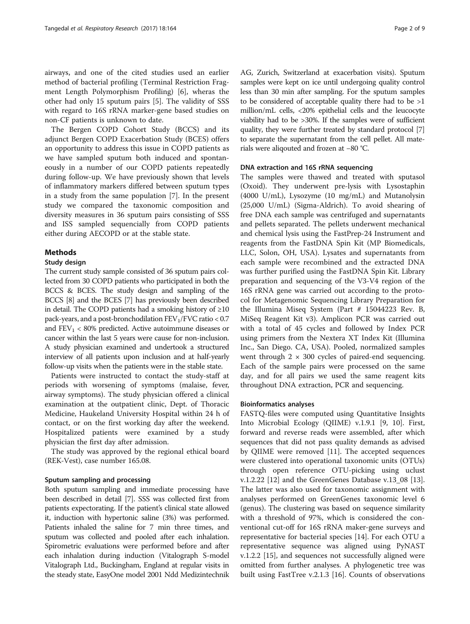airways, and one of the cited studies used an earlier method of bacterial profiling (Terminal Restriction Fragment Length Polymorphism Profiling) [\[6](#page-8-0)], wheras the other had only 15 sputum pairs [[5\]](#page-8-0). The validity of SSS with regard to 16S rRNA marker-gene based studies on non-CF patients is unknown to date.

The Bergen COPD Cohort Study (BCCS) and its adjunct Bergen COPD Exacerbation Study (BCES) offers an opportunity to address this issue in COPD patients as we have sampled sputum both induced and spontaneously in a number of our COPD patients repeatedly during follow-up. We have previously shown that levels of inflammatory markers differed between sputum types in a study from the same population [[7\]](#page-8-0). In the present study we compared the taxonomic composition and diversity measures in 36 sputum pairs consisting of SSS and ISS sampled sequencially from COPD patients either during AECOPD or at the stable state.

## Methods

## Study design

The current study sample consisted of 36 sputum pairs collected from 30 COPD patients who participated in both the BCCS & BCES. The study design and sampling of the BCCS [[8](#page-8-0)] and the BCES [\[7](#page-8-0)] has previously been described in detail. The COPD patients had a smoking history of  $\geq 10$ pack-years, and a post-bronchodilation  $FEV<sub>1</sub>/FVC$  ratio < 0.7 and  $FEV_1 < 80\%$  predicted. Active autoimmune diseases or cancer within the last 5 years were cause for non-inclusion. A study physician examined and undertook a structured interview of all patients upon inclusion and at half-yearly follow-up visits when the patients were in the stable state.

Patients were instructed to contact the study-staff at periods with worsening of symptoms (malaise, fever, airway symptoms). The study physician offered a clinical examination at the outpatient clinic, Dept. of Thoracic Medicine, Haukeland University Hospital within 24 h of contact, or on the first working day after the weekend. Hospitalized patients were examined by a study physician the first day after admission.

The study was approved by the regional ethical board (REK-Vest), case number 165.08.

#### Sputum sampling and processing

Both sputum sampling and immediate processing have been described in detail [\[7](#page-8-0)]. SSS was collected first from patients expectorating. If the patient's clinical state allowed it, induction with hypertonic saline (3%) was performed. Patients inhaled the saline for 7 min three times, and sputum was collected and pooled after each inhalation. Spirometric evaluations were performed before and after each inhalation during induction (Vitalograph S-model Vitalograph Ltd., Buckingham, England at regular visits in the steady state, EasyOne model 2001 Ndd Medizintechnik AG, Zurich, Switzerland at exacerbation visits). Sputum samples were kept on ice until undergoing quality control less than 30 min after sampling. For the sputum samples to be considered of acceptable quality there had to be >1 million/mL cells, <20% epithelial cells and the leucocyte viability had to be >30%. If the samples were of sufficient quality, they were further treated by standard protocol [[7](#page-8-0)] to separate the supernatant from the cell pellet. All materials were aliqouted and frozen at −80 °C.

## DNA extraction and 16S rRNA sequencing

The samples were thawed and treated with sputasol (Oxoid). They underwent pre-lysis with Lysostaphin (4000 U/mL), Lysozyme (10 mg/mL) and Mutanolysin (25,000 U/mL) (Sigma-Aldrich). To avoid shearing of free DNA each sample was centrifuged and supernatants and pellets separated. The pellets underwent mechanical and chemical lysis using the FastPrep-24 Instrument and reagents from the FastDNA Spin Kit (MP Biomedicals, LLC, Solon, OH, USA). Lysates and supernatants from each sample were recombined and the extracted DNA was further purified using the FastDNA Spin Kit. Library preparation and sequencing of the V3-V4 region of the 16S rRNA gene was carried out according to the protocol for Metagenomic Sequencing Library Preparation for the Illumina Miseq System (Part # 15044223 Rev. B, MiSeq Reagent Kit v3). Amplicon PCR was carried out with a total of 45 cycles and followed by Index PCR using primers from the Nextera XT Index Kit (Illumina Inc., San Diego. CA, USA). Pooled, normalized samples went through  $2 \times 300$  cycles of paired-end sequencing. Each of the sample pairs were processed on the same day, and for all pairs we used the same reagent kits throughout DNA extraction, PCR and sequencing.

## Bioinformatics analyses

FASTQ-files were computed using Quantitative Insights Into Microbial Ecology (QIIME) v.1.9.1 [[9, 10](#page-8-0)]. First, forward and reverse reads were assembled, after which sequences that did not pass quality demands as advised by QIIME were removed [[11\]](#page-8-0). The accepted sequences were clustered into operational taxonomic units (OTUs) through open reference OTU-picking using uclust v.1.2.22 [[12](#page-8-0)] and the GreenGenes Database v.13\_08 [\[13](#page-8-0)]. The latter was also used for taxonomic assignment with analyses performed on GreenGenes taxonomic level 6 (genus). The clustering was based on sequence similarity with a threshold of 97%, which is considered the conventional cut-off for 16S rRNA maker-gene surveys and representative for bacterial species [[14](#page-8-0)]. For each OTU a representative sequence was aligned using PyNAST v.1.2.2 [[15\]](#page-8-0), and sequences not successfully aligned were omitted from further analyses. A phylogenetic tree was built using FastTree v.2.1.3 [[16\]](#page-8-0). Counts of observations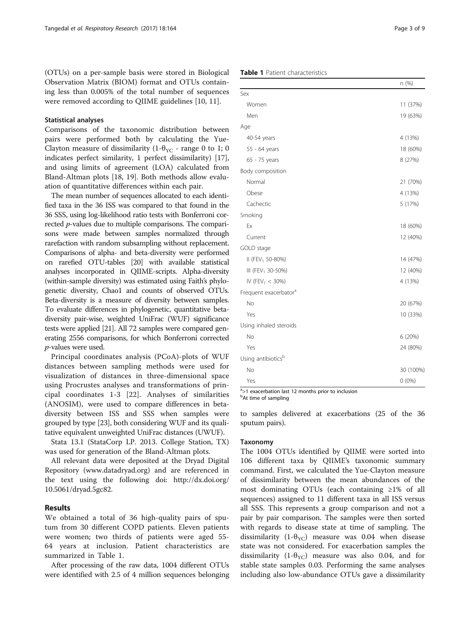(OTUs) on a per-sample basis were stored in Biological Observation Matrix (BIOM) format and OTUs containing less than 0.005% of the total number of sequences were removed according to QIIME guidelines [\[10](#page-8-0), [11\]](#page-8-0).

## Statistical analyses

Comparisons of the taxonomic distribution between pairs were performed both by calculating the Yue-Clayton measure of dissimilarity (1- $\theta_{\text{VC}}$  - range 0 to 1; 0 indicates perfect similarity, 1 perfect dissimilarity) [\[17](#page-8-0)], and using limits of agreement (LOA) calculated from Bland-Altman plots [[18](#page-8-0), [19\]](#page-8-0). Both methods allow evaluation of quantitative differences within each pair.

The mean number of sequences allocated to each identified taxa in the 36 ISS was compared to that found in the 36 SSS, using log-likelihood ratio tests with Bonferroni corrected p-values due to multiple comparisons. The comparisons were made between samples normalized through rarefaction with random subsampling without replacement. Comparisons of alpha- and beta-diversity were performed on rarefied OTU-tables [\[20](#page-8-0)] with available statistical analyses incorporated in QIIME-scripts. Alpha-diversity (within-sample diversity) was estimated using Faith's phylogenetic diversity, Chao1 and counts of observed OTUs. Beta-diversity is a measure of diversity between samples. To evaluate differences in phylogenetic, quantitative betadiversity pair-wise, weighted UniFrac (WUF) significance tests were applied [\[21\]](#page-8-0). All 72 samples were compared generating 2556 comparisons, for which Bonferroni corrected p-values were used.

Principal coordinates analysis (PCoA)-plots of WUF distances between sampling methods were used for visualization of distances in three-dimensional space using Procrustes analyses and transformations of principal coordinates 1-3 [\[22](#page-8-0)]. Analyses of similarities (ANOSIM), were used to compare differences in betadiversity between ISS and SSS when samples were grouped by type [[23](#page-8-0)], both considering WUF and its qualitative equivalent unweighted UniFrac distances (UWUF).

Stata 13.1 (StataCorp LP. 2013. College Station, TX) was used for generation of the Bland-Altman plots.

All relevant data were deposited at the Dryad Digital Repository ([www.datadryad.org](http://www.datadryad.org/)) and are referenced in the text using the following doi: [http://dx.doi.org/](http://dx.doi.org/10.5061/dryad.5gc82) [10.5061/dryad.5gc82.](http://dx.doi.org/10.5061/dryad.5gc82)

## Results

We obtained a total of 36 high-quality pairs of sputum from 30 different COPD patients. Eleven patients were women; two thirds of patients were aged 55- 64 years at inclusion. Patient characteristics are summarized in Table 1.

After processing of the raw data, 1004 different OTUs were identified with 2.5 of 4 million sequences belonging

## Table 1 Patient characteristics

|                                   | n (%)     |
|-----------------------------------|-----------|
| Sex                               |           |
| Women                             | 11 (37%)  |
| Men                               | 19 (63%)  |
| Age                               |           |
| 40-54 years                       | 4 (13%)   |
| 55 - 64 years                     | 18 (60%)  |
| 65 - 75 years                     | 8 (27%)   |
| Body composition                  |           |
| Normal                            | 21 (70%)  |
| Obese                             | 4 (13%)   |
| Cachectic                         | 5 (17%)   |
| Smoking                           |           |
| Ex                                | 18 (60%)  |
| Current                           | 12 (40%)  |
| GOLD stage                        |           |
| II (FEV <sub>1</sub> 50-80%)      | 14 (47%)  |
| III (FEV <sub>1</sub> 30-50%)     | 12 (40%)  |
| IV (FEV <sub>1</sub> < 30%)       | 4 (13%)   |
| Frequent exacerbator <sup>a</sup> |           |
| No                                | 20 (67%)  |
| Yes                               | 10 (33%)  |
| Using inhaled steroids            |           |
| No                                | 6 (20%)   |
| Yes                               | 24 (80%)  |
| Using antibiotics <sup>b</sup>    |           |
| No                                | 30 (100%) |
| Yes                               | $0(0\%)$  |

<sup>a</sup> >1 exacerbation last 12 months prior to inclusion

<sup>b</sup>At time of sampling

to samples delivered at exacerbations (25 of the 36 sputum pairs).

#### Taxonomy

The 1004 OTUs identified by QIIME were sorted into 106 different taxa by QIIME's taxonomic summary command. First, we calculated the Yue-Clayton measure of dissimilarity between the mean abundances of the most dominating OTUs (each containing ≥1% of all sequences) assigned to 11 different taxa in all ISS versus all SSS. This represents a group comparison and not a pair by pair comparison. The samples were then sorted with regards to disease state at time of sampling. The dissimilarity (1- $\theta_{\text{YC}}$ ) measure was 0.04 when disease state was not considered. For exacerbation samples the dissimilarity (1- $\theta_{\text{YC}}$ ) measure was also 0.04, and for stable state samples 0.03. Performing the same analyses including also low-abundance OTUs gave a dissimilarity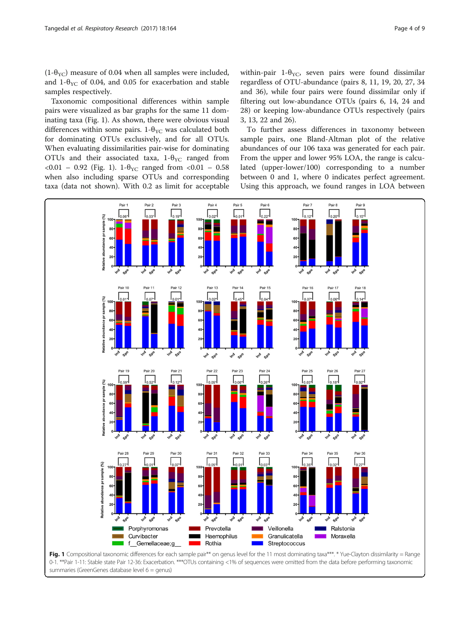<span id="page-3-0"></span> $(1-\theta_{\text{VC}})$  measure of 0.04 when all samples were included, and 1- $\theta_{\text{YC}}$  of 0.04, and 0.05 for exacerbation and stable samples respectively.

Taxonomic compositional differences within sample pairs were visualized as bar graphs for the same 11 dominating taxa (Fig. 1). As shown, there were obvious visual differences within some pairs. 1- $\theta_{\text{YC}}$  was calculated both for dominating OTUs exclusively, and for all OTUs. When evaluating dissimilarities pair-wise for dominating OTUs and their associated taxa,  $1-\theta_{\text{YC}}$  ranged from <0.01 – 0.92 (Fig. 1). 1-θ<sub>YC</sub> ranged from <0.01 – 0.58 when also including sparse OTUs and corresponding taxa (data not shown). With 0.2 as limit for acceptable

within-pair 1- $\theta_{\text{YC}}$ , seven pairs were found dissimilar regardless of OTU-abundance (pairs 8, 11, 19, 20, 27, 34 and 36), while four pairs were found dissimilar only if filtering out low-abundance OTUs (pairs 6, 14, 24 and 28) or keeping low-abundance OTUs respectively (pairs 3, 13, 22 and 26).

To further assess differences in taxonomy between sample pairs, one Bland-Altman plot of the relative abundances of our 106 taxa was generated for each pair. From the upper and lower 95% LOA, the range is calculated (upper-lower/100) corresponding to a number between 0 and 1, where 0 indicates perfect agreement. Using this approach, we found ranges in LOA between

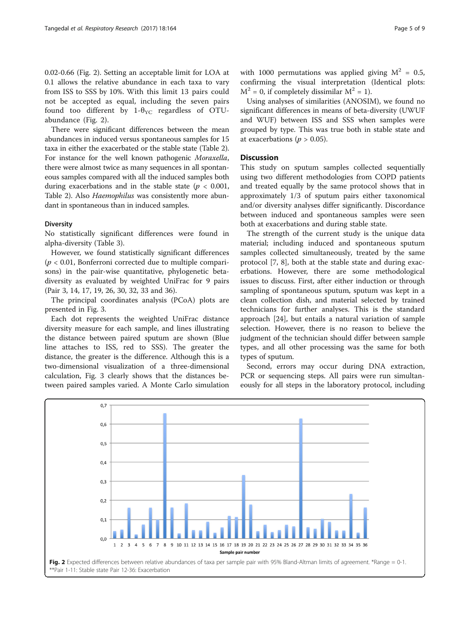0.02-0.66 (Fig. 2). Setting an acceptable limit for LOA at 0.1 allows the relative abundance in each taxa to vary from ISS to SSS by 10%. With this limit 13 pairs could not be accepted as equal, including the seven pairs found too different by  $1-\theta_{\text{YC}}$  regardless of OTUabundance (Fig. 2).

There were significant differences between the mean abundances in induced versus spontaneous samples for 15 taxa in either the exacerbated or the stable state (Table [2](#page-5-0)). For instance for the well known pathogenic Moraxella, there were almost twice as many sequences in all spontaneous samples compared with all the induced samples both during exacerbations and in the stable state ( $p < 0.001$ , Table [2\)](#page-5-0). Also Haemophilus was consistently more abundant in spontaneous than in induced samples.

## **Diversity**

No statistically significant differences were found in alpha-diversity (Table [3\)](#page-5-0).

However, we found statistically significant differences  $(p < 0.01$ , Bonferroni corrected due to multiple comparisons) in the pair-wise quantitative, phylogenetic betadiversity as evaluated by weighted UniFrac for 9 pairs (Pair 3, 14, 17, 19, 26, 30, 32, 33 and 36).

The principal coordinates analysis (PCoA) plots are presented in Fig. [3.](#page-6-0)

Each dot represents the weighted UniFrac distance diversity measure for each sample, and lines illustrating the distance between paired sputum are shown (Blue line attaches to ISS, red to SSS). The greater the distance, the greater is the difference. Although this is a two-dimensional visualization of a three-dimensional calculation, Fig. [3](#page-6-0) clearly shows that the distances between paired samples varied. A Monte Carlo simulation

with 1000 permutations was applied giving  $M^2 = 0.5$ , confirming the visual interpretation (Identical plots:  $M^2 = 0$ , if completely dissimilar  $M^2 = 1$ ).

Using analyses of similarities (ANOSIM), we found no significant differences in means of beta-diversity (UWUF and WUF) between ISS and SSS when samples were grouped by type. This was true both in stable state and at exacerbations ( $p > 0.05$ ).

## **Discussion**

This study on sputum samples collected sequentially using two different methodologies from COPD patients and treated equally by the same protocol shows that in approximately 1/3 of sputum pairs either taxonomical and/or diversity analyses differ significantly. Discordance between induced and spontaneous samples were seen both at exacerbations and during stable state.

The strength of the current study is the unique data material; including induced and spontaneous sputum samples collected simultaneously, treated by the same protocol [[7, 8](#page-8-0)], both at the stable state and during exacerbations. However, there are some methodological issues to discuss. First, after either induction or through sampling of spontaneous sputum, sputum was kept in a clean collection dish, and material selected by trained technicians for further analyses. This is the standard approach [[24](#page-8-0)], but entails a natural variation of sample selection. However, there is no reason to believe the judgment of the technician should differ between sample types, and all other processing was the same for both types of sputum.

Second, errors may occur during DNA extraction, PCR or sequencing steps. All pairs were run simultaneously for all steps in the laboratory protocol, including

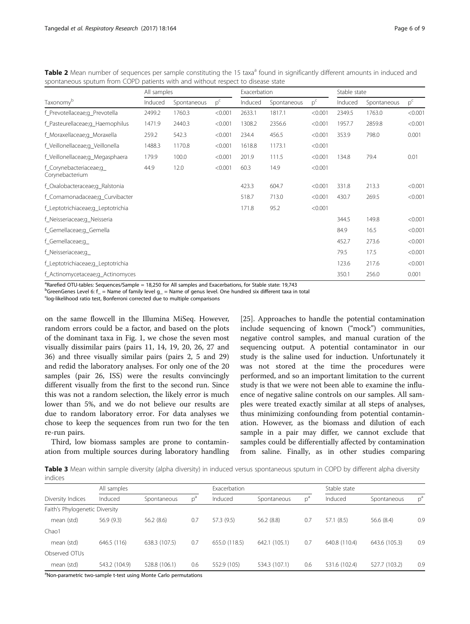|                                           | All samples |             |         | Exacerbation |             |         | Stable state |             |         |
|-------------------------------------------|-------------|-------------|---------|--------------|-------------|---------|--------------|-------------|---------|
| Taxonomy <sup>b</sup>                     | Induced     | Spontaneous | $p^c$   | Induced      | Spontaneous | $p^c$   | Induced      | Spontaneous | $p^c$   |
| f_Prevotellaceae;g_Prevotella             | 2499.2      | 1760.3      | < 0.001 | 2633.1       | 1817.1      | < 0.001 | 2349.5       | 1763.0      | < 0.001 |
| f_Pasteurellaceae;g_Haemophilus           | 1471.9      | 2440.3      | < 0.001 | 1308.2       | 2356.6      | < 0.001 | 1957.7       | 2859.8      | < 0.001 |
| f_Moraxellaceae;g_Moraxella               | 259.2       | 542.3       | < 0.001 | 234.4        | 456.5       | < 0.001 | 353.9        | 798.0       | 0.001   |
| f_Veillonellaceae;g_Veillonella           | 1488.3      | 1170.8      | < 0.001 | 1618.8       | 1173.1      | < 0.001 |              |             |         |
| f_Veillonellaceae;g_Megasphaera           | 179.9       | 100.0       | < 0.001 | 201.9        | 111.5       | < 0.001 | 134.8        | 79.4        | 0.01    |
| f Corynebacteriaceae;g<br>Corynebacterium | 44.9        | 12.0        | < 0.001 | 60.3         | 14.9        | < 0.001 |              |             |         |
| f_Oxalobacteraceae;q_Ralstonia            |             |             |         | 423.3        | 604.7       | < 0.001 | 331.8        | 213.3       | < 0.001 |
| f_Comamonadaceae;q_Curvibacter            |             |             |         | 518.7        | 713.0       | < 0.001 | 430.7        | 269.5       | < 0.001 |
| f_Leptotrichiaceae;g_Leptotrichia         |             |             |         | 171.8        | 95.2        | < 0.001 |              |             |         |
| f_Neisseriaceae;g_Neisseria               |             |             |         |              |             |         | 344.5        | 149.8       | < 0.001 |
| f_Gemellaceae;q_Gemella                   |             |             |         |              |             |         | 84.9         | 16.5        | < 0.001 |
| f_Gemellaceae;q_                          |             |             |         |              |             |         | 452.7        | 273.6       | < 0.001 |
| f_Neisseriaceae;q_                        |             |             |         |              |             |         | 79.5         | 17.5        | < 0.001 |
| f_Leptotrichiaceae;q_Leptotrichia         |             |             |         |              |             |         | 123.6        | 217.6       | < 0.001 |
| f_Actinomycetaceae;q_Actinomyces          |             |             |         |              |             |         | 350.1        | 256.0       | 0.001   |

<span id="page-5-0"></span>Table 2 Mean number of sequences per sample constituting the 15 taxa<sup>a</sup> found in significantly different amounts in induced and spontaneous sputum from COPD patients with and without respect to disease state

<sup>a</sup>Rarefied OTU-tables: Sequences/Sample = 18,250 for All samples and Exacerbations, for Stable state: 19,743

 $^{\rm b}$ GreenGenes Level 6: f\_ = Name of family level g\_ = Name of genus level. One hundred six different taxa in total

<sup>c</sup>log-likelihood ratio test, Bonferroni corrected due to multiple comparisons

on the same flowcell in the Illumina MiSeq. However, random errors could be a factor, and based on the plots of the dominant taxa in Fig. [1](#page-3-0), we chose the seven most visually dissimilar pairs (pairs 11, 14, 19, 20, 26, 27 and 36) and three visually similar pairs (pairs 2, 5 and 29) and redid the laboratory analyses. For only one of the 20 samples (pair 26, ISS) were the results convincingly different visually from the first to the second run. Since this was not a random selection, the likely error is much lower than 5%, and we do not believe our results are due to random laboratory error. For data analyses we chose to keep the sequences from run two for the ten re-run pairs.

Third, low biomass samples are prone to contamination from multiple sources during laboratory handling

[[25\]](#page-8-0). Approaches to handle the potential contamination include sequencing of known ("mock") communities, negative control samples, and manual curation of the sequencing output. A potential contaminator in our study is the saline used for induction. Unfortunately it was not stored at the time the procedures were performed, and so an important limitation to the current study is that we were not been able to examine the influence of negative saline controls on our samples. All samples were treated exactly similar at all steps of analyses, thus minimizing confounding from potential contamination. However, as the biomass and dilution of each sample in a pair may differ, we cannot exclude that samples could be differentially affected by contamination from saline. Finally, as in other studies comparing

Table 3 Mean within sample diversity (alpha diversity) in induced versus spontaneous sputum in COPD by different alpha diversity indices

|                                | All samples   |               |       | Exacerbation  |               |       | Stable state  |               |       |
|--------------------------------|---------------|---------------|-------|---------------|---------------|-------|---------------|---------------|-------|
| Diversity Indices              | Induced       | Spontaneous   | $D^d$ | Induced       | Spontaneous   | $p^a$ | Induced       | Spontaneous   | $p^a$ |
| Faith's Phylogenetic Diversity |               |               |       |               |               |       |               |               |       |
| mean (std)                     | 56.9(9.3)     | 56.2(8.6)     | 0.7   | 57.3 (9.5)    | 56.2(8.8)     | 0.7   | 57.1 (8.5)    | 56.6 (8.4)    | 0.9   |
| Chao1                          |               |               |       |               |               |       |               |               |       |
| mean (std)                     | 646.5 (116)   | 638.3 (107.5) | 0.7   | 655.0 (118.5) | 642.1 (105.1) | 0.7   | 640.8 (110.4) | 643.6 (105.3) | 0.9   |
| Observed OTUs                  |               |               |       |               |               |       |               |               |       |
| mean (std)                     | 543.2 (104.9) | 528.8 (106.1) | 0.6   | 552.9 (105)   | 534.3 (107.1) | 0.6   | 531.6 (102.4) | 527.7 (103.2) | 0.9   |

<sup>a</sup>Non-parametric two-sample t-test using Monte Carlo permutations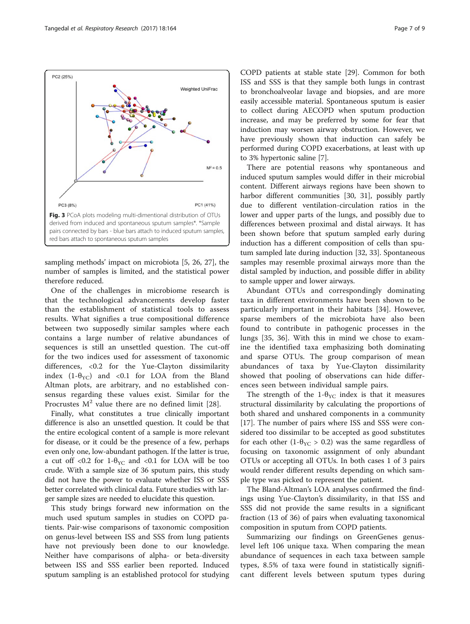sampling methods' impact on microbiota [\[5](#page-8-0), [26, 27\]](#page-8-0), the number of samples is limited, and the statistical power therefore reduced.

One of the challenges in microbiome research is that the technological advancements develop faster than the establishment of statistical tools to assess results. What signifies a true compositional difference between two supposedly similar samples where each contains a large number of relative abundances of sequences is still an unsettled question. The cut-off for the two indices used for assessment of taxonomic differences, <0.2 for the Yue-Clayton dissimilarity index  $(1-\theta_{\text{YC}})$  and <0.1 for LOA from the Bland Altman plots, are arbitrary, and no established consensus regarding these values exist. Similar for the Procrustes  $M^2$  value there are no defined limit [[28\]](#page-8-0).

Finally, what constitutes a true clinically important difference is also an unsettled question. It could be that the entire ecological content of a sample is more relevant for disease, or it could be the presence of a few, perhaps even only one, low-abundant pathogen. If the latter is true, a cut off <0.2 for 1- $\theta_{\text{YC}}$  and <0.1 for LOA will be too crude. With a sample size of 36 sputum pairs, this study did not have the power to evaluate whether ISS or SSS better correlated with clinical data. Future studies with larger sample sizes are needed to elucidate this question.

This study brings forward new information on the much used sputum samples in studies on COPD patients. Pair-wise comparisons of taxonomic composition on genus-level between ISS and SSS from lung patients have not previously been done to our knowledge. Neither have comparisons of alpha- or beta-diversity between ISS and SSS earlier been reported. Induced sputum sampling is an established protocol for studying

COPD patients at stable state [\[29](#page-8-0)]. Common for both ISS and SSS is that they sample both lungs in contrast to bronchoalveolar lavage and biopsies, and are more easily accessible material. Spontaneous sputum is easier to collect during AECOPD when sputum production increase, and may be preferred by some for fear that induction may worsen airway obstruction. However, we have previously shown that induction can safely be performed during COPD exacerbations, at least with up to 3% hypertonic saline [\[7](#page-8-0)].

There are potential reasons why spontaneous and induced sputum samples would differ in their microbial content. Different airways regions have been shown to harbor different communities [\[30](#page-8-0), [31](#page-8-0)], possibly partly due to different ventilation-circulation ratios in the lower and upper parts of the lungs, and possibly due to differences between proximal and distal airways. It has been shown before that sputum sampled early during induction has a different composition of cells than sputum sampled late during induction [\[32](#page-8-0), [33](#page-8-0)]. Spontaneous samples may resemble proximal airways more than the distal sampled by induction, and possible differ in ability to sample upper and lower airways.

Abundant OTUs and correspondingly dominating taxa in different environments have been shown to be particularly important in their habitats [[34\]](#page-8-0). However, sparse members of the microbiota have also been found to contribute in pathogenic processes in the lungs [[35, 36](#page-8-0)]. With this in mind we chose to examine the identified taxa emphasizing both dominating and sparse OTUs. The group comparison of mean abundances of taxa by Yue-Clayton dissimilarity showed that pooling of observations can hide differences seen between individual sample pairs.

The strength of the 1- $\theta_{\text{YC}}$  index is that it measures structural dissimilarity by calculating the proportions of both shared and unshared components in a community [[17\]](#page-8-0). The number of pairs where ISS and SSS were considered too dissimilar to be accepted as good substitutes for each other (1- $\theta_{\text{YC}} > 0.2$ ) was the same regardless of focusing on taxonomic assignment of only abundant OTUs or accepting all OTUs. In both cases 1 of 3 pairs would render different results depending on which sample type was picked to represent the patient.

The Bland-Altman's LOA analyses confirmed the findings using Yue-Clayton's dissimilarity, in that ISS and SSS did not provide the same results in a significant fraction (13 of 36) of pairs when evaluating taxonomical composition in sputum from COPD patients.

Summarizing our findings on GreenGenes genuslevel left 106 unique taxa. When comparing the mean abundance of sequences in each taxa between sample types, 8.5% of taxa were found in statistically significant different levels between sputum types during

<span id="page-6-0"></span>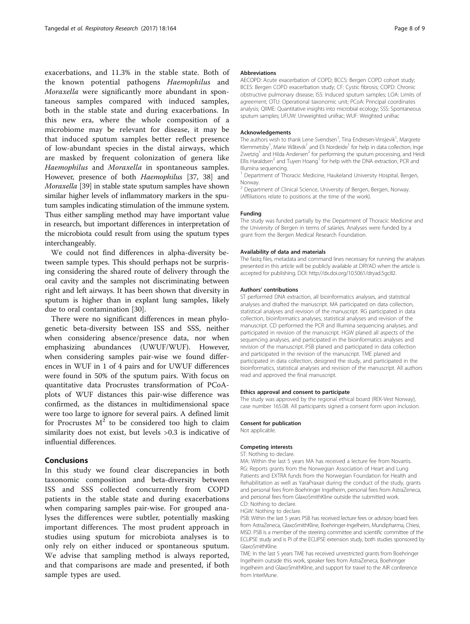exacerbations, and 11.3% in the stable state. Both of the known potential pathogens Haemophilus and Moraxella were significantly more abundant in spontaneous samples compared with induced samples, both in the stable state and during exacerbations. In this new era, where the whole composition of a microbiome may be relevant for disease, it may be that induced sputum samples better reflect presence of low-abundant species in the distal airways, which are masked by frequent colonization of genera like Haemophilus and Moraxella in spontaneous samples. However, presence of both Haemophilus [[37, 38\]](#page-8-0) and Moraxella [[39](#page-8-0)] in stable state sputum samples have shown similar higher levels of inflammatory markers in the sputum samples indicating stimulation of the immune system. Thus either sampling method may have important value in research, but important differences in interpretation of the microbiota could result from using the sputum types interchangeably.

We could not find differences in alpha-diversity between sample types. This should perhaps not be surprising considering the shared route of delivery through the oral cavity and the samples not discriminating between right and left airways. It has been shown that diversity in sputum is higher than in explant lung samples, likely due to oral contamination [[30\]](#page-8-0).

There were no significant differences in mean phylogenetic beta-diversity between ISS and SSS, neither when considering absence/presence data, nor when emphasizing abundances (UWUF/WUF). However, when considering samples pair-wise we found differences in WUF in 1 of 4 pairs and for UWUF differences were found in 50% of the sputum pairs. With focus on quantitative data Procrustes transformation of PCoAplots of WUF distances this pair-wise difference was confirmed, as the distances in multidimensional space were too large to ignore for several pairs. A defined limit for Procrustes  $M^2$  to be considered too high to claim similarity does not exist, but levels >0.3 is indicative of influential differences.

## Conclusions

In this study we found clear discrepancies in both taxonomic composition and beta-diversity between ISS and SSS collected concurrently from COPD patients in the stable state and during exacerbations when comparing samples pair-wise. For grouped analyses the differences were subtler, potentially masking important differences. The most prudent approach in studies using sputum for microbiota analyses is to only rely on either induced or spontaneous sputum. We advise that sampling method is always reported, and that comparisons are made and presented, if both sample types are used.

#### Abbreviations

AECOPD: Acute exacerbation of COPD; BCCS: Bergen COPD cohort study; BCES: Bergen COPD exacerbation study; CF: Cystic fibrosis; COPD: Chronic obstructive pulmonary disease; ISS: Induced sputum samples; LOA: Limits of agreement; OTU: Operational taxonomic unit; PCoA: Principal coordinates analysis; QIIME: Quantitative insights into microbial ecology; SSS: Spontaneous sputum samples; UFUW: Unweighted unifrac; WUF: Weighted unifrac

#### Acknowledgements

The authors wish to thank Lene Svendsen<sup>1</sup>, Tina Endresen-Vinsjevik<sup>1</sup>, Margrete Klemmetsby<sup>1</sup>, Marie Wåtevik<sup>1</sup> and Eli Nordeide<sup>1</sup> for help in data collection, Inge Zwetzig<sup>1</sup> and Hilda Andersen<sup>2</sup> for performing the sputum processing, and Heidi Ellis Haraldsen<sup>2</sup> and Tuyen Hoang<sup>1</sup> for help with the DNA extraction, PCR and Illumina sequencing.

<sup>1</sup> Department of Thoracic Medicine, Haukeland University Hospital, Bergen, Norway.

<sup>2</sup> Department of Clinical Science, University of Bergen, Bergen, Norway. (Affiliations relate to positions at the time of the work).

#### Funding

The study was funded partially by the Department of Thoracic Medicine and the University of Bergen in terms of salaries. Analyses were funded by a grant from the Bergen Medical Research Foundation.

#### Availability of data and materials

The fastq files, metadata and command lines necessary for running the analyses presented in this article will be publicly available at DRYAD when the article is accepted for publishing. DOI:<http://dx.doi.org/10.5061/dryad.5gc82>.

#### Authors' contributions

ST performed DNA extraction, all bioinformatics analyses, and statistical analyses and drafted the manuscript. MA participated on data collection, statistical analyses and revision of the manuscript. RG participated in data collection, bioinformatics analyses, statistical analyses and revision of the manuscript. CD performed the PCR and Illumina sequencing analyses, and participated in revision of the manuscript. HGW planed all aspects of the sequencing analyses, and participated in the bioinformatics analyses and revision of the manuscript. PSB planed and participated in data collection and participated in the revision of the manuscript. TME planed and participated in data collection, designed the study, and participated in the bioinformatics, statistical analyses and revision of the manuscript. All authors read and approved the final manuscript.

#### Ethics approval and consent to participate

The study was approved by the regional ethical board (REK-Vest Norway), case number 165.08. All participants signed a consent form upon inclusion.

#### Consent for publication

Not applicable.

#### Competing interests

ST: Nothing to declare.

MA: Within the last 5 years MA has received a lecture fee from Novartis. RG: Reports grants from the Norwegian Association of Heart and Lung Patients and EXTRA funds from the Norwegian Foundation for Health and Rehabilitation as well as YaraPraxair during the conduct of the study, grants and personal fees from Boehringer Ingelheim, personal fees from AstraZeneca, and personal fees from GlaxoSmithKline outside the submitted work. CD: Nothing to declare.

HGW: Nothing to declare.

PSB: Within the last 5 years PSB has received lecture fees or advisory board fees from AstraZeneca, GlaxoSmithKline, Boehringer-Ingelheim, Mundipharma, Chiesi, MSD. PSB is a member of the steering committee and scientific committee of the ECLIPSE study and is PI of the ECLIPSE extension study, both studies sponsored by GlaxoSmithKline.

TME: In the last 5 years TME has received unrestricted grants from Boehringer Ingelheim outside this work, speaker fees from AstraZeneca, Boehringer Ingelheim and GlaxoSmithKline, and support for travel to the AIR conference from InterMune.